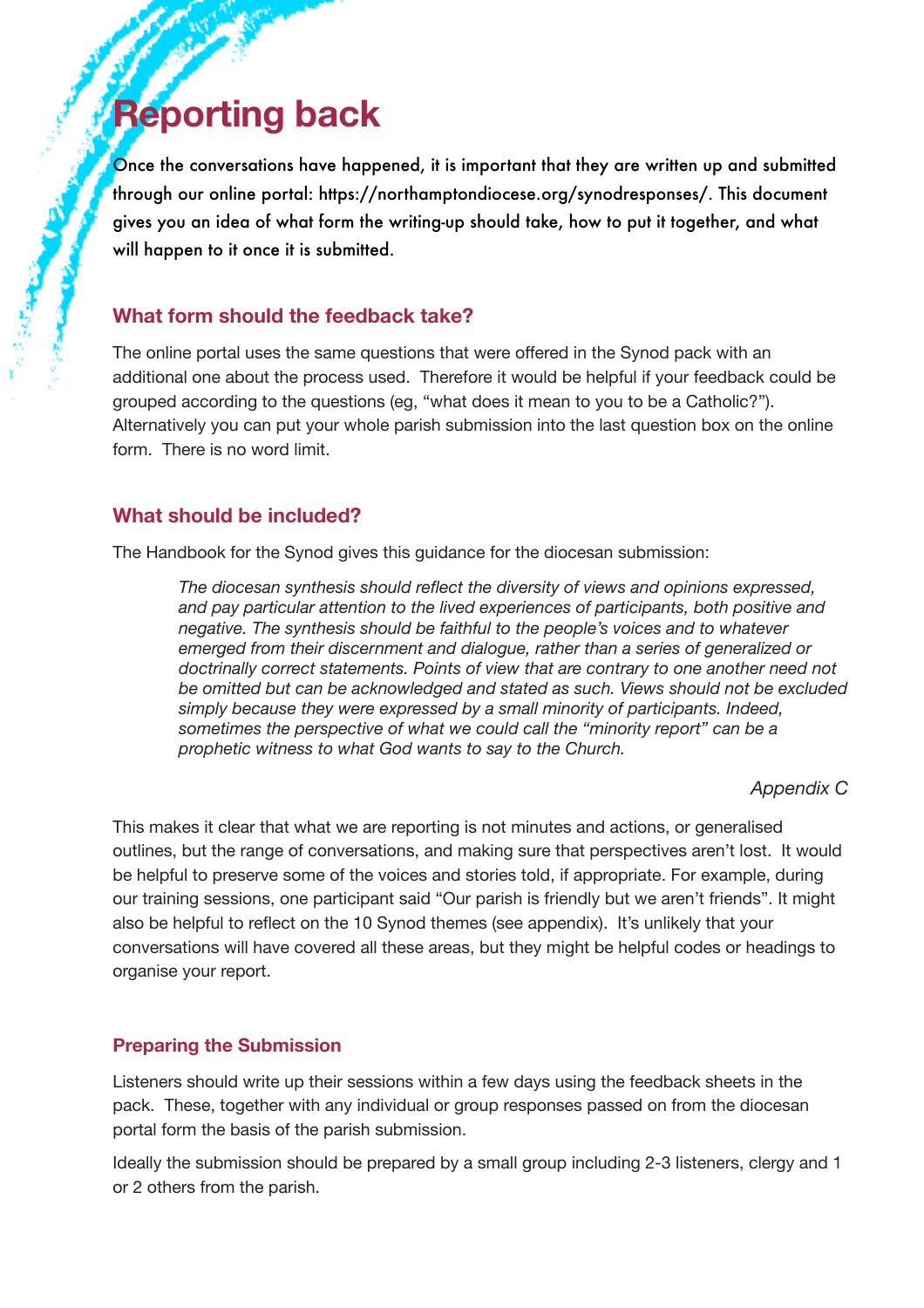# **Reporting back**

Once the conversations have happened, it is important that they are written up and submitted through our online portal: https://northamptondiocese.org/synodresponses/. This document gives you an idea of what form the writing-up should take, how to put it together, and what will happen to it once it is submitted.

## **What form should the feedback take?**

The online portal uses the same questions that were offered in the Synod pack with an additional one about the process used. Therefore it would be helpful if your feedback could be grouped according to the questions (eg, "what does it mean to you to be a Catholic?"). Alternatively you can put your whole parish submission into the last question box on the online form. There is no word limit.

## **What should be included?**

The Handbook for the Synod gives this guidance for the diocesan submission:

*The diocesan synthesis should reflect the diversity of views and opinions expressed, and pay particular attention to the lived experiences of participants, both positive and negative. The synthesis should be faithful to the people's voices and to whatever emerged from their discernment and dialogue, rather than a series of generalized or doctrinally correct statements. Points of view that are contrary to one another need not be omitted but can be acknowledged and stated as such. Views should not be excluded simply because they were expressed by a small minority of participants. Indeed, sometimes the perspective of what we could call the "minority report" can be a prophetic witness to what God wants to say to the Church.* 

#### *Appendix C*

This makes it clear that what we are reporting is not minutes and actions, or generalised outlines, but the range of conversations, and making sure that perspectives aren't lost. It would be helpful to preserve some of the voices and stories told, if appropriate. For example, during our training sessions, one participant said "Our parish is friendly but we aren't friends". It might also be helpful to reflect on the 10 Synod themes (see appendix). It's unlikely that your conversations will have covered all these areas, but they might be helpful codes or headings to organise your report.

#### **Preparing the Submission**

Listeners should write up their sessions within a few days using the feedback sheets in the pack. These, together with any individual or group responses passed on from the diocesan portal form the basis of the parish submission.

Ideally the submission should be prepared by a small group including 2-3 listeners, clergy and 1 or 2 others from the parish.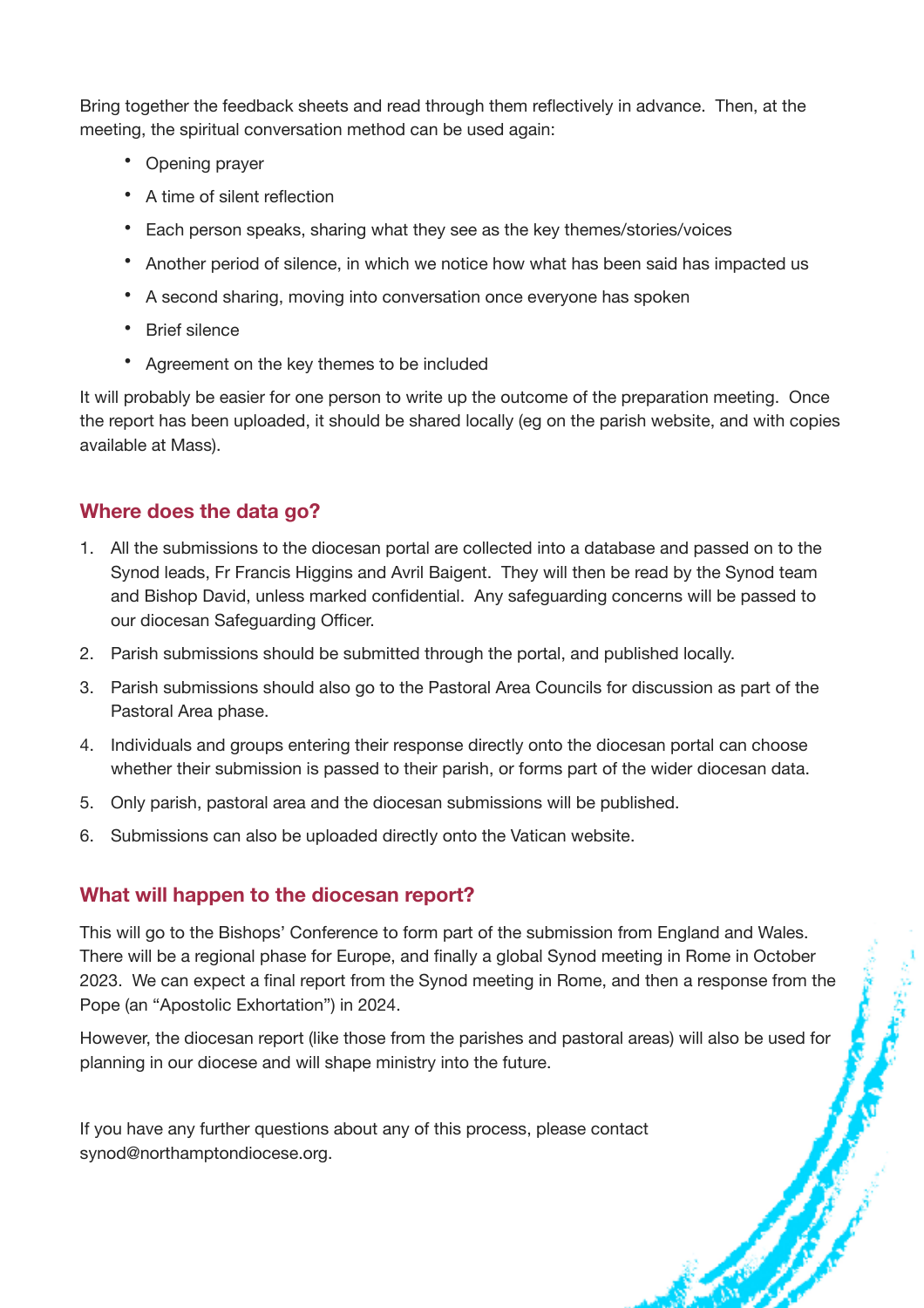Bring together the feedback sheets and read through them reflectively in advance. Then, at the meeting, the spiritual conversation method can be used again:

- Opening prayer
- A time of silent reflection
- Each person speaks, sharing what they see as the key themes/stories/voices
- Another period of silence, in which we notice how what has been said has impacted us
- A second sharing, moving into conversation once everyone has spoken
- Brief silence
- Agreement on the key themes to be included

It will probably be easier for one person to write up the outcome of the preparation meeting. Once the report has been uploaded, it should be shared locally (eg on the parish website, and with copies available at Mass).

## **Where does the data go?**

- 1. All the submissions to the diocesan portal are collected into a database and passed on to the Synod leads, Fr Francis Higgins and Avril Baigent. They will then be read by the Synod team and Bishop David, unless marked confidential. Any safeguarding concerns will be passed to our diocesan Safeguarding Officer.
- 2. Parish submissions should be submitted through the portal, and published locally.
- 3. Parish submissions should also go to the Pastoral Area Councils for discussion as part of the Pastoral Area phase.
- 4. Individuals and groups entering their response directly onto the diocesan portal can choose whether their submission is passed to their parish, or forms part of the wider diocesan data.
- 5. Only parish, pastoral area and the diocesan submissions will be published.
- 6. Submissions can also be uploaded directly onto the Vatican website.

## **What will happen to the diocesan report?**

This will go to the Bishops' Conference to form part of the submission from England and Wales. There will be a regional phase for Europe, and finally a global Synod meeting in Rome in October 2023. We can expect a final report from the Synod meeting in Rome, and then a response from the Pope (an "Apostolic Exhortation") in 2024.

However, the diocesan report (like those from the parishes and pastoral areas) will also be used for planning in our diocese and will shape ministry into the future.

If you have any further questions about any of this process, please contact synod@northamptondiocese.org.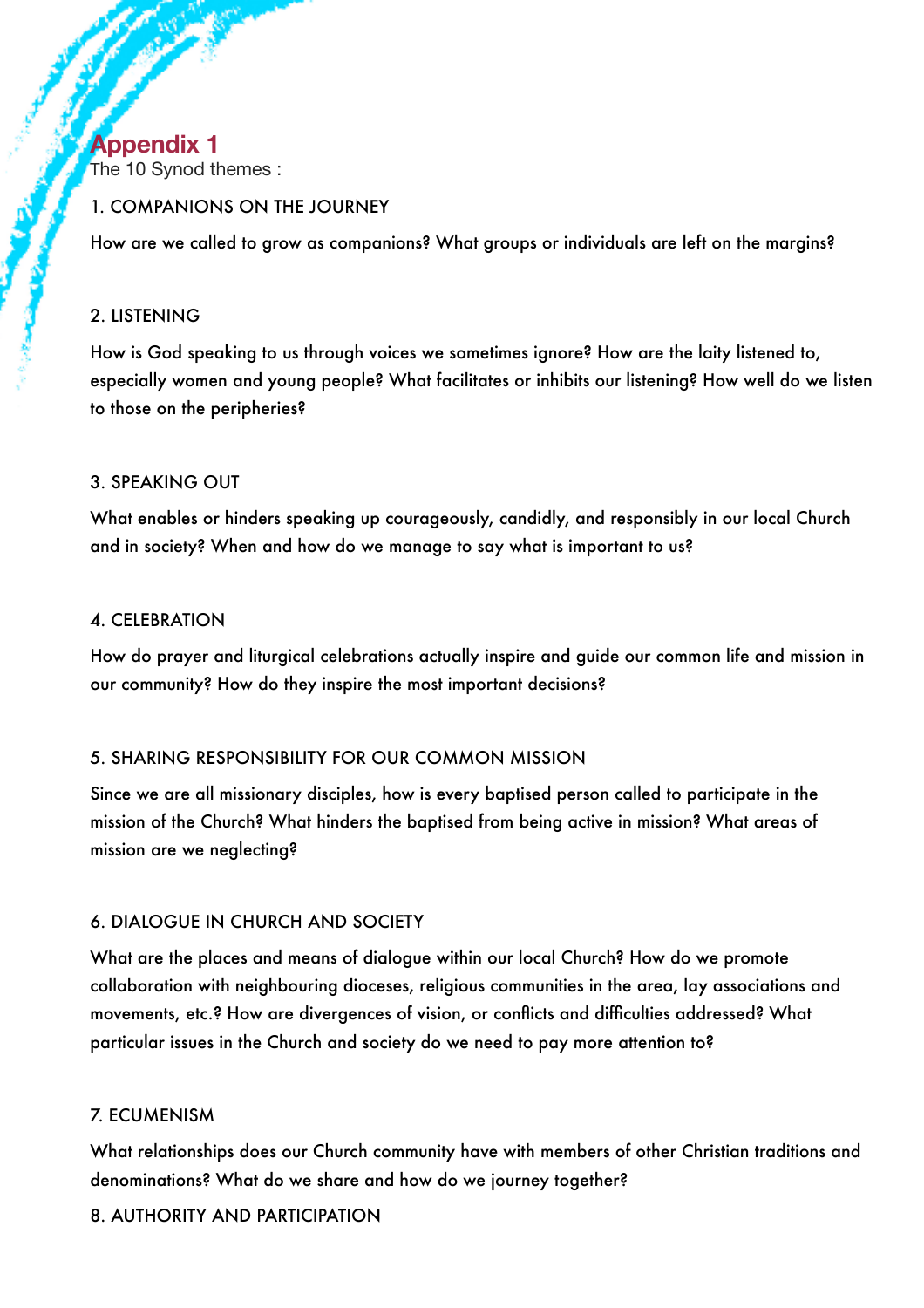# **Appendix 1**

The 10 Synod themes :

#### 1. COMPANIONS ON THE JOURNEY

How are we called to grow as companions? What groups or individuals are left on the margins?

#### 2. LISTENING

How is God speaking to us through voices we sometimes ignore? How are the laity listened to, especially women and young people? What facilitates or inhibits our listening? How well do we listen to those on the peripheries?

#### 3. SPEAKING OUT

What enables or hinders speaking up courageously, candidly, and responsibly in our local Church and in society? When and how do we manage to say what is important to us?

#### 4. CELEBRATION

How do prayer and liturgical celebrations actually inspire and guide our common life and mission in our community? How do they inspire the most important decisions?

## 5. SHARING RESPONSIBILITY FOR OUR COMMON MISSION

Since we are all missionary disciples, how is every baptised person called to participate in the mission of the Church? What hinders the baptised from being active in mission? What areas of mission are we neglecting?

## 6. DIALOGUE IN CHURCH AND SOCIETY

What are the places and means of dialogue within our local Church? How do we promote collaboration with neighbouring dioceses, religious communities in the area, lay associations and movements, etc.? How are divergences of vision, or conflicts and difficulties addressed? What particular issues in the Church and society do we need to pay more attention to?

## 7. ECUMENISM

What relationships does our Church community have with members of other Christian traditions and denominations? What do we share and how do we journey together?

## 8. AUTHORITY AND PARTICIPATION